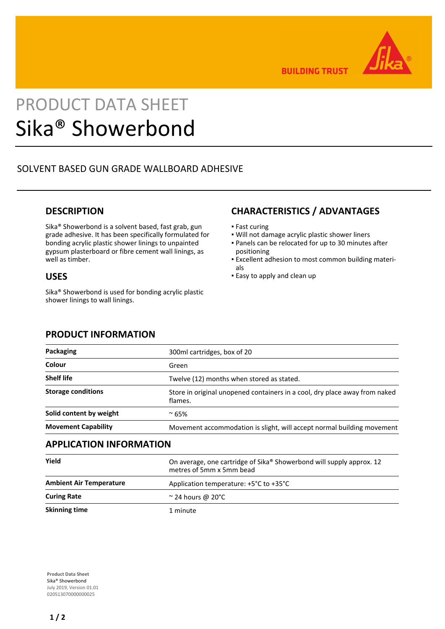

**BUILDING TRUST** 

# PRODUCT DATA SHEET Sika® Showerbond

# SOLVENT BASED GUN GRADE WALLBOARD ADHESIVE

# **DESCRIPTION**

Sika® Showerbond is a solvent based, fast grab, gun grade adhesive. It has been specifically formulated for bonding acrylic plastic shower linings to unpainted gypsum plasterboard or fibre cement wall linings, as well as timber.

# **USES**

Sika® Showerbond is used for bonding acrylic plastic shower linings to wall linings.

# **CHARACTERISTICS / ADVANTAGES**

- Fast curing
- Will not damage acrylic plastic shower liners
- Panels can be relocated for up to 30 minutes after positioning
- Excellent adhesion to most common building materi-▪ als
- **Easy to apply and clean up**

# **PRODUCT INFORMATION**

| <b>Packaging</b>               | 300ml cartridges, box of 20                                                           |
|--------------------------------|---------------------------------------------------------------------------------------|
| Colour                         | Green                                                                                 |
| <b>Shelf life</b>              | Twelve (12) months when stored as stated.                                             |
| <b>Storage conditions</b>      | Store in original unopened containers in a cool, dry place away from naked<br>flames. |
| Solid content by weight        | $~^{\circ}$ 65%                                                                       |
| <b>Movement Capability</b>     | Movement accommodation is slight, will accept normal building movement                |
| <b>APPLICATION INFORMATION</b> |                                                                                       |

| Yield                          | On average, one cartridge of Sika® Showerbond will supply approx. 12<br>metres of 5mm x 5mm bead |
|--------------------------------|--------------------------------------------------------------------------------------------------|
| <b>Ambient Air Temperature</b> | Application temperature: $+5^{\circ}$ C to $+35^{\circ}$ C                                       |
| <b>Curing Rate</b>             | $\approx$ 24 hours @ 20°C                                                                        |
| <b>Skinning time</b>           | 1 minute                                                                                         |

**Product Data Sheet** Sika® Showerbond July 2019, Version 01.01 020513070000000025